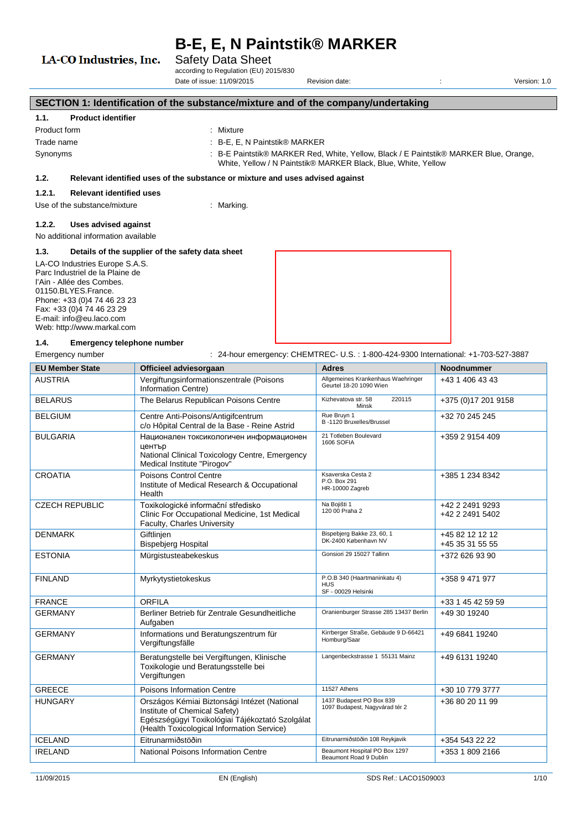Safety Data Sheet

according to Regulation (EU) 2015/830 Date of issue: 11/09/2015 Revision date: : Version: 1.0

## **SECTION 1: Identification of the substance/mixture and of the company/undertaking**

# **1.1. Product identifier**

| Product form | Mixture                                                                                                                                                 |
|--------------|---------------------------------------------------------------------------------------------------------------------------------------------------------|
| Trade name   | $\therefore$ B-E, E, N Paintstik® MARKER                                                                                                                |
| Synonyms     | : B-E Paintstik® MARKER Red, White, Yellow, Black / E Paintstik® MARKER Blue, Orange,<br>White, Yellow / N Paintstik® MARKER Black, Blue, White, Yellow |

#### **1.2. Relevant identified uses of the substance or mixture and uses advised against**

#### **1.2.1. Relevant identified uses**

LA-CO Industries, Inc.

Use of the substance/mixture : Marking.

### **1.2.2. Uses advised against**

No additional information available

#### **1.3. Details of the supplier of the safety data sheet**

LA-CO Industries Europe S.A.S. Parc Industriel de la Plaine de l'Ain - Allée des Combes. 01150.BLYES.France. Phone: +33 (0)4 74 46 23 23 Fax: +33 (0)4 74 46 23 29 E-mail: info@eu.laco.com Web: http://www.markal.com



#### **1.4. Emergency telephone number**

Emergency number : 24-hour emergency: CHEMTREC- U.S.: 1-800-424-9300 International: +1-703-527-3887

| <b>EU Member State</b> | Officieel adviesorgaan                                                                                                                                                         | <b>Adres</b>                                                      | <b>Noodnummer</b>                  |
|------------------------|--------------------------------------------------------------------------------------------------------------------------------------------------------------------------------|-------------------------------------------------------------------|------------------------------------|
| <b>AUSTRIA</b>         | Vergiftungsinformationszentrale (Poisons<br>Information Centre)                                                                                                                | Allgemeines Krankenhaus Waehringer<br>Geurtel 18-20 1090 Wien     | +43 1 406 43 43                    |
| <b>BELARUS</b>         | The Belarus Republican Poisons Centre                                                                                                                                          | Kizhevatova str. 58<br>220115<br>Minsk                            | +375 (0) 17 201 9158               |
| <b>BELGIUM</b>         | Centre Anti-Poisons/Antigifcentrum<br>c/o Hôpital Central de la Base - Reine Astrid                                                                                            | Rue Bruyn 1<br>B-1120 Bruxelles/Brussel                           | +32 70 245 245                     |
| <b>BULGARIA</b>        | Национален токсикологичен информационен<br>център<br>National Clinical Toxicology Centre, Emergency<br>Medical Institute "Pirogov"                                             | 21 Totleben Boulevard<br>1606 SOFIA                               | +359 2 9154 409                    |
| <b>CROATIA</b>         | Poisons Control Centre<br>Institute of Medical Research & Occupational<br>Health                                                                                               | Ksaverska Cesta 2<br>P.O. Box 291<br>HR-10000 Zagreb              | +385 1 234 8342                    |
| <b>CZECH REPUBLIC</b>  | Toxikologické informační středisko<br>Clinic For Occupational Medicine, 1st Medical<br>Faculty, Charles University                                                             | Na Bojišti 1<br>120 00 Praha 2                                    | +42 2 2491 9293<br>+42 2 2491 5402 |
| <b>DENMARK</b>         | Giftlinjen<br><b>Bispebjerg Hospital</b>                                                                                                                                       | Bispebjerg Bakke 23, 60, 1<br>DK-2400 København NV                | +45 82 12 12 12<br>+45 35 31 55 55 |
| <b>ESTONIA</b>         | Mürgistusteabekeskus                                                                                                                                                           | Gonsiori 29 15027 Tallinn                                         | +372 626 93 90                     |
| <b>FINLAND</b>         | Myrkytystietokeskus                                                                                                                                                            | P.O.B 340 (Haartmaninkatu 4)<br><b>HUS</b><br>SF - 00029 Helsinki | +358 9 471 977                     |
| <b>FRANCE</b>          | <b>ORFILA</b>                                                                                                                                                                  |                                                                   | +33 1 45 42 59 59                  |
| <b>GERMANY</b>         | Berliner Betrieb für Zentrale Gesundheitliche<br>Aufgaben                                                                                                                      | Oranienburger Strasse 285 13437 Berlin                            | +49 30 19240                       |
| <b>GERMANY</b>         | Informations und Beratungszentrum für<br>Vergiftungsfälle                                                                                                                      | Kirrberger Straße, Gebäude 9 D-66421<br>Homburg/Saar              | +49 6841 19240                     |
| <b>GERMANY</b>         | Beratungstelle bei Vergiftungen, Klinische<br>Toxikologie und Beratungsstelle bei<br>Vergiftungen                                                                              | Langenbeckstrasse 1 55131 Mainz                                   | +49 6131 19240                     |
| <b>GREECE</b>          | Poisons Information Centre                                                                                                                                                     | 11527 Athens                                                      | +30 10 779 3777                    |
| <b>HUNGARY</b>         | Országos Kémiai Biztonsági Intézet (National<br>Institute of Chemical Safety)<br>Egészségügyi Toxikológiai Tájékoztató Szolgálat<br>(Health Toxicological Information Service) | 1437 Budapest PO Box 839<br>1097 Budapest, Nagyvárad tér 2        | +36 80 20 11 99                    |
| <b>ICELAND</b>         | Eitrunarmiðstöðin                                                                                                                                                              | Eitrunarmiðstöðin 108 Reykjavik                                   | +354 543 22 22                     |
| <b>IRELAND</b>         | National Poisons Information Centre                                                                                                                                            | Beaumont Hospital PO Box 1297<br>Beaumont Road 9 Dublin           | +353 1 809 2166                    |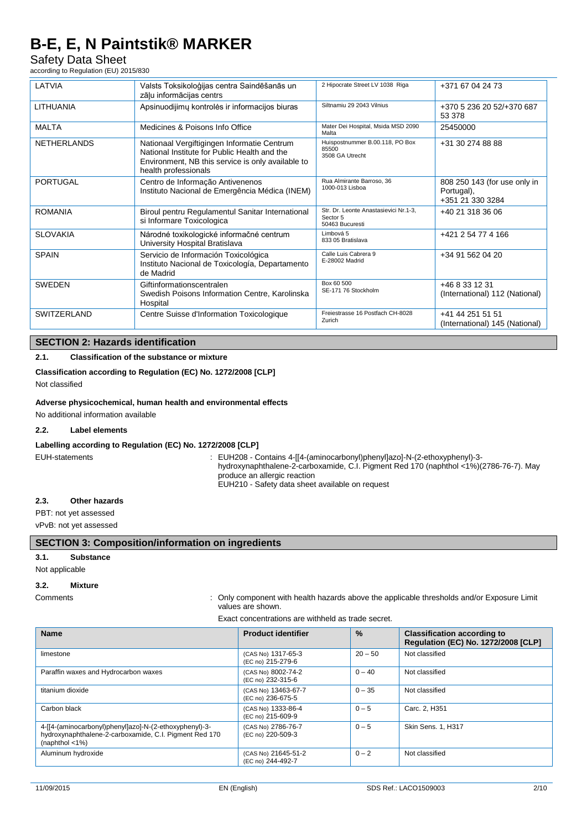# Safety Data Sheet

according to Regulation (EU) 2015/830

| LATVIA             | Valsts Toksikoloģijas centra Saindēšanās un<br>zāļu informācijas centrs                                                                                                  | 2 Hipocrate Street LV 1038 Riga                                      | +371 67 04 24 73                                               |
|--------------------|--------------------------------------------------------------------------------------------------------------------------------------------------------------------------|----------------------------------------------------------------------|----------------------------------------------------------------|
| <b>LITHUANIA</b>   | Apsinuodijimų kontrolės ir informacijos biuras                                                                                                                           | Siltnamiu 29 2043 Vilnius                                            | +370 5 236 20 52/+370 687<br>53 378                            |
| <b>MALTA</b>       | Medicines & Poisons Info Office                                                                                                                                          | Mater Dei Hospital, Msida MSD 2090<br>Malta                          | 25450000                                                       |
| <b>NETHERLANDS</b> | Nationaal Vergiftigingen Informatie Centrum<br>National Institute for Public Health and the<br>Environment, NB this service is only available to<br>health professionals | Huispostnummer B.00.118, PO Box<br>85500<br>3508 GA Utrecht          | +31 30 274 88 88                                               |
| <b>PORTUGAL</b>    | Centro de Informação Antivenenos<br>Instituto Nacional de Emergência Médica (INEM)                                                                                       | Rua Almirante Barroso, 36<br>1000-013 Lisboa                         | 808 250 143 (for use only in<br>Portugal),<br>+351 21 330 3284 |
| <b>ROMANIA</b>     | Biroul pentru Regulamentul Sanitar International<br>si Informare Toxicologica                                                                                            | Str. Dr. Leonte Anastasievici Nr.1-3.<br>Sector 5<br>50463 Bucuresti | +40 21 318 36 06                                               |
| <b>SLOVAKIA</b>    | Národné toxikologické informačné centrum<br>University Hospital Bratislava                                                                                               | Limbová 5<br>833 05 Bratislava                                       | +421 2 54 77 4 166                                             |
| <b>SPAIN</b>       | Servicio de Información Toxicológica<br>Instituto Nacional de Toxicología, Departamento<br>de Madrid                                                                     | Calle Luis Cabrera 9<br>E-28002 Madrid                               | +34 91 562 04 20                                               |
| <b>SWEDEN</b>      | Giftinformationscentralen<br>Swedish Poisons Information Centre, Karolinska<br>Hospital                                                                                  | Box 60 500<br>SE-171 76 Stockholm                                    | +46 8 33 12 31<br>(International) 112 (National)               |
| SWITZERLAND        | Centre Suisse d'Information Toxicologique                                                                                                                                | Freiestrasse 16 Postfach CH-8028<br>Zurich                           | +41 44 251 51 51<br>(International) 145 (National)             |

# **SECTION 2: Hazards identification**

### **2.1. Classification of the substance or mixture**

#### **Classification according to Regulation (EC) No. 1272/2008 [CLP]**

Not classified

#### **Adverse physicochemical, human health and environmental effects**

No additional information available

#### **2.2. Label elements**

#### **Labelling according to Regulation (EC) No. 1272/2008 [CLP]**

EUH-statements : EUH208 - Contains 4-[[4-(aminocarbonyl)phenyl]azo]-N-(2-ethoxyphenyl)-3 hydroxynaphthalene-2-carboxamide, C.I. Pigment Red 170 (naphthol <1%)(2786-76-7). May produce an allergic reaction EUH210 - Safety data sheet available on request

#### **2.3. Other hazards**

PBT: not yet assessed

#### vPvB: not yet assessed

#### **SECTION 3: Composition/information on ingredients**

#### **3.1. Substance**

Not applicable

### **3.2. Mixture**

#### Comments : Only component with health hazards above the applicable thresholds and/or Exposure Limit values are shown.

Exact concentrations are withheld as trade secret.

| <b>Name</b>                                                                                                                                         | <b>Product identifier</b>                | $\frac{9}{6}$ | <b>Classification according to</b><br>Regulation (EC) No. 1272/2008 [CLP] |
|-----------------------------------------------------------------------------------------------------------------------------------------------------|------------------------------------------|---------------|---------------------------------------------------------------------------|
| limestone                                                                                                                                           | (CAS No) 1317-65-3<br>(EC no) 215-279-6  | $20 - 50$     | Not classified                                                            |
| Paraffin waxes and Hydrocarbon waxes                                                                                                                | (CAS No) 8002-74-2<br>(EC no) 232-315-6  | $0 - 40$      | Not classified                                                            |
| titanium dioxide                                                                                                                                    | (CAS No) 13463-67-7<br>(EC no) 236-675-5 | $0 - 35$      | Not classified                                                            |
| Carbon black                                                                                                                                        | (CAS No) 1333-86-4<br>(EC no) 215-609-9  | $0 - 5$       | Carc. 2, H351                                                             |
| 4-[[4-(aminocarbonyl)phenyl]azo]-N-(2-ethoxyphenyl)-3-<br>hydroxynaphthalene-2-carboxamide, C.I. Pigment Red 170<br>(naphthol $\langle 1\% \rangle$ | (CAS No) 2786-76-7<br>(EC no) 220-509-3  | $0 - 5$       | <b>Skin Sens. 1, H317</b>                                                 |
| Aluminum hydroxide                                                                                                                                  | (CAS No) 21645-51-2<br>(EC no) 244-492-7 | $0 - 2$       | Not classified                                                            |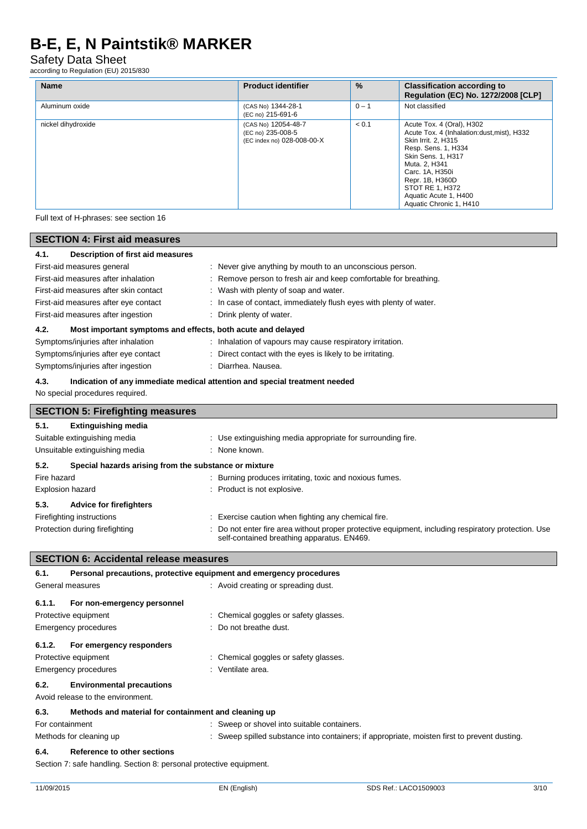# Safety Data Sheet

according to Regulation (EU) 2015/830

| <b>Name</b>        | <b>Product identifier</b>                                              | $\frac{0}{0}$ | <b>Classification according to</b><br>Regulation (EC) No. 1272/2008 [CLP]                                                                                                                                                                                                 |
|--------------------|------------------------------------------------------------------------|---------------|---------------------------------------------------------------------------------------------------------------------------------------------------------------------------------------------------------------------------------------------------------------------------|
| Aluminum oxide     | (CAS No) 1344-28-1<br>(EC no) 215-691-6                                | $0 - 1$       | Not classified                                                                                                                                                                                                                                                            |
| nickel dihydroxide | (CAS No) 12054-48-7<br>(EC no) 235-008-5<br>(EC index no) 028-008-00-X | < 0.1         | Acute Tox. 4 (Oral), H302<br>Acute Tox. 4 (Inhalation:dust, mist), H332<br>Skin Irrit. 2, H315<br>Resp. Sens. 1, H334<br>Skin Sens. 1, H317<br>Muta. 2, H341<br>Carc. 1A. H350i<br>Repr. 1B, H360D<br>STOT RE 1, H372<br>Aquatic Acute 1, H400<br>Aquatic Chronic 1, H410 |

Full text of H-phrases: see section 16

| <b>SECTION 4: First aid measures</b>                                                      |                                                                                                                                                 |  |  |
|-------------------------------------------------------------------------------------------|-------------------------------------------------------------------------------------------------------------------------------------------------|--|--|
| Description of first aid measures<br>4.1.                                                 |                                                                                                                                                 |  |  |
| First-aid measures general                                                                | Never give anything by mouth to an unconscious person.                                                                                          |  |  |
| First-aid measures after inhalation                                                       | Remove person to fresh air and keep comfortable for breathing.                                                                                  |  |  |
| First-aid measures after skin contact                                                     | Wash with plenty of soap and water.                                                                                                             |  |  |
| First-aid measures after eye contact                                                      | In case of contact, immediately flush eyes with plenty of water.                                                                                |  |  |
| First-aid measures after ingestion                                                        | Drink plenty of water.                                                                                                                          |  |  |
| 4.2.<br>Most important symptoms and effects, both acute and delayed                       |                                                                                                                                                 |  |  |
| Symptoms/injuries after inhalation                                                        | : Inhalation of vapours may cause respiratory irritation.                                                                                       |  |  |
| Symptoms/injuries after eye contact                                                       | Direct contact with the eyes is likely to be irritating.                                                                                        |  |  |
| Symptoms/injuries after ingestion                                                         | Diarrhea. Nausea.                                                                                                                               |  |  |
| 4.3.                                                                                      | Indication of any immediate medical attention and special treatment needed                                                                      |  |  |
| No special procedures required.                                                           |                                                                                                                                                 |  |  |
| <b>SECTION 5: Firefighting measures</b>                                                   |                                                                                                                                                 |  |  |
| 5.1.<br><b>Extinguishing media</b>                                                        |                                                                                                                                                 |  |  |
| Suitable extinguishing media<br>Use extinguishing media appropriate for surrounding fire. |                                                                                                                                                 |  |  |
| Unsuitable extinguishing media<br>None known.                                             |                                                                                                                                                 |  |  |
| 5.2.<br>Special hazards arising from the substance or mixture                             |                                                                                                                                                 |  |  |
| Fire hazard                                                                               | Burning produces irritating, toxic and noxious fumes.                                                                                           |  |  |
| <b>Explosion hazard</b>                                                                   | Product is not explosive.                                                                                                                       |  |  |
| 5.3.<br><b>Advice for firefighters</b>                                                    |                                                                                                                                                 |  |  |
| Firefighting instructions                                                                 | Exercise caution when fighting any chemical fire.                                                                                               |  |  |
| Protection during firefighting                                                            | Do not enter fire area without proper protective equipment, including respiratory protection. Use<br>self-contained breathing apparatus. EN469. |  |  |
| <b>SECTION 6: Accidental release measures</b>                                             |                                                                                                                                                 |  |  |
| 6.1.<br>Personal precautions, protective equipment and emergency procedures               |                                                                                                                                                 |  |  |
| General measures                                                                          | : Avoid creating or spreading dust.                                                                                                             |  |  |

| 6.1.1.          | For non-emergency personnel                          |                                                                                              |
|-----------------|------------------------------------------------------|----------------------------------------------------------------------------------------------|
|                 | Protective equipment                                 | : Chemical goggles or safety glasses.                                                        |
|                 | Emergency procedures                                 | : Do not breathe dust.                                                                       |
| 6.1.2.          | For emergency responders                             |                                                                                              |
|                 | Protective equipment                                 | : Chemical goggles or safety glasses.                                                        |
|                 | <b>Emergency procedures</b>                          | : Ventilate area.                                                                            |
| 6.2.            | <b>Environmental precautions</b>                     |                                                                                              |
|                 | Avoid release to the environment.                    |                                                                                              |
| 6.3.            | Methods and material for containment and cleaning up |                                                                                              |
| For containment |                                                      | : Sweep or shovel into suitable containers.                                                  |
|                 | Methods for cleaning up                              | : Sweep spilled substance into containers; if appropriate, moisten first to prevent dusting. |

#### **6.4. Reference to other sections**

Section 7: safe handling. Section 8: personal protective equipment.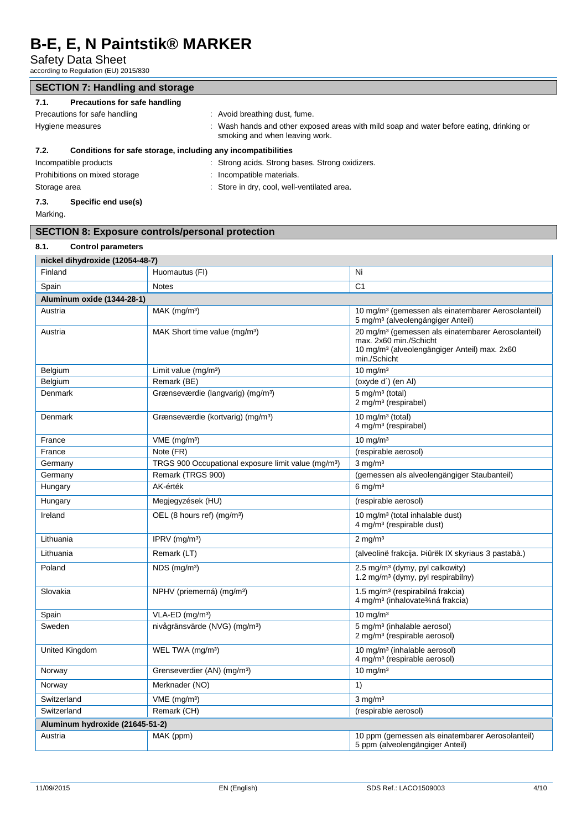Safety Data Sheet

according to Regulation (EU) 2015/830

| <b>SECTION 7: Handling and storage</b>                                                                                                       |                                               |  |
|----------------------------------------------------------------------------------------------------------------------------------------------|-----------------------------------------------|--|
| Precautions for safe handling<br>7.1.                                                                                                        |                                               |  |
| Precautions for safe handling                                                                                                                | : Avoid breathing dust, fume.                 |  |
| Wash hands and other exposed areas with mild soap and water before eating, drinking or<br>Hygiene measures<br>smoking and when leaving work. |                                               |  |
| Conditions for safe storage, including any incompatibilities<br>7.2.                                                                         |                                               |  |
| Incompatible products                                                                                                                        | Strong acids. Strong bases. Strong oxidizers. |  |
| Prohibitions on mixed storage<br>: Incompatible materials.                                                                                   |                                               |  |
| : Store in dry, cool, well-ventilated area.<br>Storage area                                                                                  |                                               |  |
| Specific end use(s)<br>7.3.                                                                                                                  |                                               |  |

Marking.

# **SECTION 8: Exposure controls/personal protection**

| 8.1.<br><b>Control parameters</b> |                                                                 |                                                                                                                                                                      |  |  |
|-----------------------------------|-----------------------------------------------------------------|----------------------------------------------------------------------------------------------------------------------------------------------------------------------|--|--|
| nickel dihydroxide (12054-48-7)   |                                                                 |                                                                                                                                                                      |  |  |
| Finland                           | Huomautus (FI)                                                  | Ni                                                                                                                                                                   |  |  |
| Spain                             | <b>Notes</b>                                                    | C <sub>1</sub>                                                                                                                                                       |  |  |
| Aluminum oxide (1344-28-1)        |                                                                 |                                                                                                                                                                      |  |  |
| Austria                           | $MAK$ (mg/m <sup>3</sup> )                                      | 10 mg/m <sup>3</sup> (gemessen als einatembarer Aerosolanteil)<br>5 mg/m <sup>3</sup> (alveolengängiger Anteil)                                                      |  |  |
| Austria                           | MAK Short time value (mg/m <sup>3</sup> )                       | 20 mg/m <sup>3</sup> (gemessen als einatembarer Aerosolanteil)<br>max. 2x60 min./Schicht<br>10 mg/m <sup>3</sup> (alveolengängiger Anteil) max. 2x60<br>min./Schicht |  |  |
| Belgium                           | Limit value (mg/m <sup>3</sup> )                                | $10$ mg/m <sup>3</sup>                                                                                                                                               |  |  |
| Belgium                           | Remark (BE)                                                     | (oxyde d') (en Al)                                                                                                                                                   |  |  |
| Denmark                           | Grænseværdie (langvarig) (mg/m <sup>3</sup> )                   | 5 mg/m <sup>3</sup> (total)<br>2 mg/m <sup>3</sup> (respirabel)                                                                                                      |  |  |
| Denmark                           | Grænseværdie (kortvarig) (mg/m <sup>3</sup> )                   | 10 mg/m $3$ (total)<br>4 mg/m <sup>3</sup> (respirabel)                                                                                                              |  |  |
| France                            | VME (mg/m <sup>3</sup> )                                        | $10$ mg/m <sup>3</sup>                                                                                                                                               |  |  |
| France                            | Note (FR)                                                       | (respirable aerosol)                                                                                                                                                 |  |  |
| Germany                           | TRGS 900 Occupational exposure limit value (mg/m <sup>3</sup> ) | $3 \text{ mg/m}^3$                                                                                                                                                   |  |  |
| Germany                           | Remark (TRGS 900)                                               | (gemessen als alveolengängiger Staubanteil)                                                                                                                          |  |  |
| Hungary                           | AK-érték                                                        | $6 \text{ mg/m}^3$                                                                                                                                                   |  |  |
| Hungary                           | Megjegyzések (HU)                                               | (respirable aerosol)                                                                                                                                                 |  |  |
| Ireland                           | OEL (8 hours ref) (mg/m <sup>3</sup> )                          | 10 mg/m <sup>3</sup> (total inhalable dust)<br>4 mg/m <sup>3</sup> (respirable dust)                                                                                 |  |  |
| Lithuania                         | IPRV ( $mg/m3$ )                                                | $2 \text{ mg/m}^3$                                                                                                                                                   |  |  |
| Lithuania                         | Remark (LT)                                                     | (alveolinë frakcija. Þiûrëk IX skyriaus 3 pastabà.)                                                                                                                  |  |  |
| Poland                            | NDS (mg/m <sup>3</sup> )                                        | 2.5 mg/m <sup>3</sup> (dymy, pyl calkowity)<br>1.2 mg/m <sup>3</sup> (dymy, pyl respirabilny)                                                                        |  |  |
| Slovakia                          | NPHV (priemerná) (mg/m <sup>3</sup> )                           | 1.5 mg/m <sup>3</sup> (respirabilná frakcia)<br>4 mg/m <sup>3</sup> (inhalovate3⁄4ná frakcia)                                                                        |  |  |
| Spain                             | $VLA-ED$ (mg/m <sup>3</sup> )                                   | $10 \text{ mg/m}^3$                                                                                                                                                  |  |  |
| Sweden                            | nivågränsvärde (NVG) (mg/m <sup>3</sup> )                       | 5 mg/m <sup>3</sup> (inhalable aerosol)<br>2 mg/m <sup>3</sup> (respirable aerosol)                                                                                  |  |  |
| United Kingdom                    | WEL TWA (mg/m <sup>3</sup> )                                    | 10 mg/m <sup>3</sup> (inhalable aerosol)<br>4 mg/m <sup>3</sup> (respirable aerosol)                                                                                 |  |  |
| Norway                            | Grenseverdier (AN) (mg/m <sup>3</sup> )                         | $10 \text{ mg/m}^3$                                                                                                                                                  |  |  |
| Norway                            | Merknader (NO)                                                  | 1)                                                                                                                                                                   |  |  |
| Switzerland                       | $VME$ (mg/m <sup>3</sup> )                                      | $3$ mg/m <sup>3</sup>                                                                                                                                                |  |  |
| Switzerland                       | Remark (CH)                                                     | (respirable aerosol)                                                                                                                                                 |  |  |
| Aluminum hydroxide (21645-51-2)   |                                                                 |                                                                                                                                                                      |  |  |
| Austria                           | MAK (ppm)                                                       | 10 ppm (gemessen als einatembarer Aerosolanteil)<br>5 ppm (alveolengängiger Anteil)                                                                                  |  |  |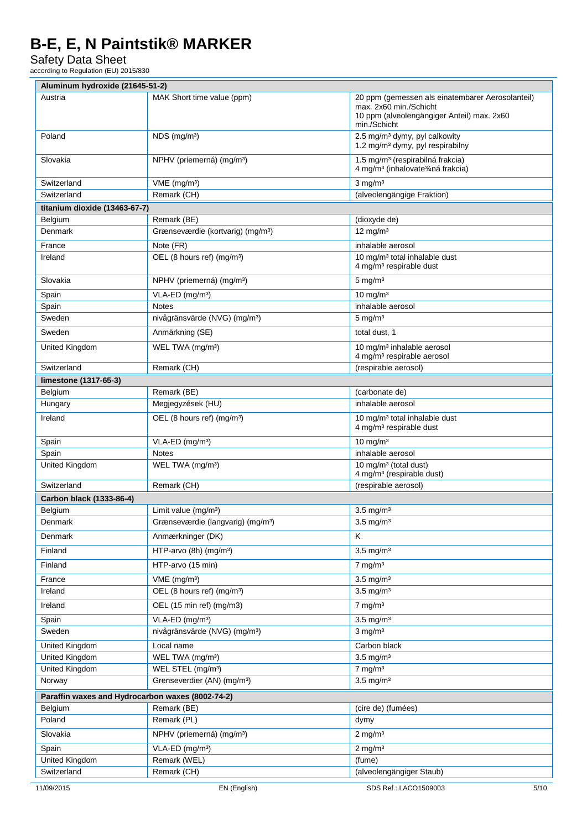Safety Data Sheet

according to Regulation (EU) 2015/830

| Aluminum hydroxide (21645-51-2) |                                                  |                                                                                                                                          |      |
|---------------------------------|--------------------------------------------------|------------------------------------------------------------------------------------------------------------------------------------------|------|
| Austria                         | MAK Short time value (ppm)                       | 20 ppm (gemessen als einatembarer Aerosolanteil)<br>max. 2x60 min./Schicht<br>10 ppm (alveolengängiger Anteil) max. 2x60<br>min./Schicht |      |
| Poland                          | NDS (mg/m <sup>3</sup> )                         | 2.5 mg/m <sup>3</sup> dymy, pyl calkowity<br>1.2 mg/m <sup>3</sup> dymy, pyl respirabilny                                                |      |
| Slovakia                        | NPHV (priemerná) (mg/m <sup>3</sup> )            | 1.5 mg/m <sup>3</sup> (respirabilná frakcia)<br>4 mg/m <sup>3</sup> (inhalovate <sup>3</sup> /4ná frakcia)                               |      |
| Switzerland                     | $VME$ (mg/m <sup>3</sup> )                       | $3$ mg/m <sup>3</sup>                                                                                                                    |      |
| Switzerland                     | Remark (CH)                                      | (alveolengängige Fraktion)                                                                                                               |      |
| titanium dioxide (13463-67-7)   |                                                  |                                                                                                                                          |      |
| Belgium                         | Remark (BE)                                      | (dioxyde de)                                                                                                                             |      |
| Denmark                         | Grænseværdie (kortvarig) (mg/m <sup>3</sup> )    | 12 mg/m $3$                                                                                                                              |      |
| France                          | Note (FR)                                        | inhalable aerosol                                                                                                                        |      |
| Ireland                         | OEL (8 hours ref) (mg/m <sup>3</sup> )           | 10 mg/m <sup>3</sup> total inhalable dust<br>4 mg/m <sup>3</sup> respirable dust                                                         |      |
| Slovakia                        | NPHV (priemerná) (mg/m <sup>3</sup> )            | $5 \text{ mg/m}^3$                                                                                                                       |      |
| Spain                           | VLA-ED (mg/m <sup>3</sup> )                      | $10 \text{ mg/m}^3$                                                                                                                      |      |
| Spain                           | <b>Notes</b>                                     | inhalable aerosol                                                                                                                        |      |
| Sweden                          | nivågränsvärde (NVG) (mg/m <sup>3</sup> )        | $5 \text{ mg/m}^3$                                                                                                                       |      |
| Sweden                          | Anmärkning (SE)                                  | total dust, 1                                                                                                                            |      |
| United Kingdom                  | WEL TWA (mg/m <sup>3</sup> )                     | 10 mg/m <sup>3</sup> inhalable aerosol<br>4 mg/m <sup>3</sup> respirable aerosol                                                         |      |
| Switzerland                     | Remark (CH)                                      | (respirable aerosol)                                                                                                                     |      |
| limestone (1317-65-3)           |                                                  |                                                                                                                                          |      |
| Belgium                         | Remark (BE)                                      | (carbonate de)                                                                                                                           |      |
| Hungary                         | Megjegyzések (HU)                                | inhalable aerosol                                                                                                                        |      |
| Ireland                         | OEL (8 hours ref) (mg/m <sup>3</sup> )           | 10 mg/m <sup>3</sup> total inhalable dust<br>4 mg/m <sup>3</sup> respirable dust                                                         |      |
| Spain                           | VLA-ED (mg/m <sup>3</sup> )                      | $10 \text{ mg/m}^3$                                                                                                                      |      |
| Spain                           | <b>Notes</b>                                     | inhalable aerosol                                                                                                                        |      |
| United Kingdom                  | WEL TWA (mg/m <sup>3</sup> )                     | 10 mg/m <sup>3</sup> (total dust)<br>4 mg/m <sup>3</sup> (respirable dust)                                                               |      |
| Switzerland                     | Remark (CH)                                      | (respirable aerosol)                                                                                                                     |      |
| Carbon black (1333-86-4)        |                                                  |                                                                                                                                          |      |
| Belgium                         | Limit value (mg/m <sup>3</sup> )                 | $3.5 \text{ mg/m}^3$                                                                                                                     |      |
| Denmark                         | Grænseværdie (langvarig) (mg/m <sup>3</sup> )    | $3.5 \text{ mg/m}^3$                                                                                                                     |      |
| Denmark                         | Anmærkninger (DK)                                | K                                                                                                                                        |      |
| Finland                         | HTP-arvo (8h) (mg/m <sup>3</sup> )               | $3.5 \text{ mg/m}^3$                                                                                                                     |      |
| Finland                         | HTP-arvo (15 min)                                | $7$ mg/m <sup>3</sup>                                                                                                                    |      |
| France                          | $VME$ (mg/m <sup>3</sup> )                       | $3.5 \text{ mg/m}^3$                                                                                                                     |      |
| Ireland                         | OEL (8 hours ref) (mg/m <sup>3</sup> )           | $3.5 \text{ mg/m}^3$                                                                                                                     |      |
| Ireland                         | OEL (15 min ref) (mg/m3)                         | $7$ mg/m $3$                                                                                                                             |      |
| Spain                           | VLA-ED (mg/m <sup>3</sup> )                      | $3.5 \text{ mg/m}^3$                                                                                                                     |      |
| Sweden                          | nivågränsvärde (NVG) (mg/m <sup>3</sup> )        | $3$ mg/m <sup>3</sup>                                                                                                                    |      |
| United Kingdom                  | Local name                                       | Carbon black                                                                                                                             |      |
| United Kingdom                  | WEL TWA (mg/m <sup>3</sup> )                     | $3.5 \text{ mg/m}^3$                                                                                                                     |      |
| <b>United Kingdom</b>           | WEL STEL (mg/m <sup>3</sup> )                    | $7$ mg/m $3$                                                                                                                             |      |
| Norway                          | Grenseverdier (AN) (mg/m <sup>3</sup> )          | $3.5 \text{ mg/m}^3$                                                                                                                     |      |
|                                 | Paraffin waxes and Hydrocarbon waxes (8002-74-2) |                                                                                                                                          |      |
| Belgium                         | Remark (BE)                                      | (cire de) (fumées)                                                                                                                       |      |
| Poland                          | Remark (PL)                                      | dymy                                                                                                                                     |      |
| Slovakia                        | NPHV (priemerná) (mg/m <sup>3</sup> )            | $2$ mg/m <sup>3</sup>                                                                                                                    |      |
| Spain                           | VLA-ED (mg/m <sup>3</sup> )                      | $2$ mg/m <sup>3</sup>                                                                                                                    |      |
| United Kingdom                  | Remark (WEL)                                     | (fume)                                                                                                                                   |      |
| Switzerland                     | Remark (CH)                                      | (alveolengängiger Staub)                                                                                                                 |      |
| 11/09/2015                      | EN (English)                                     | SDS Ref.: LACO1509003                                                                                                                    | 5/10 |

 $\overline{1}$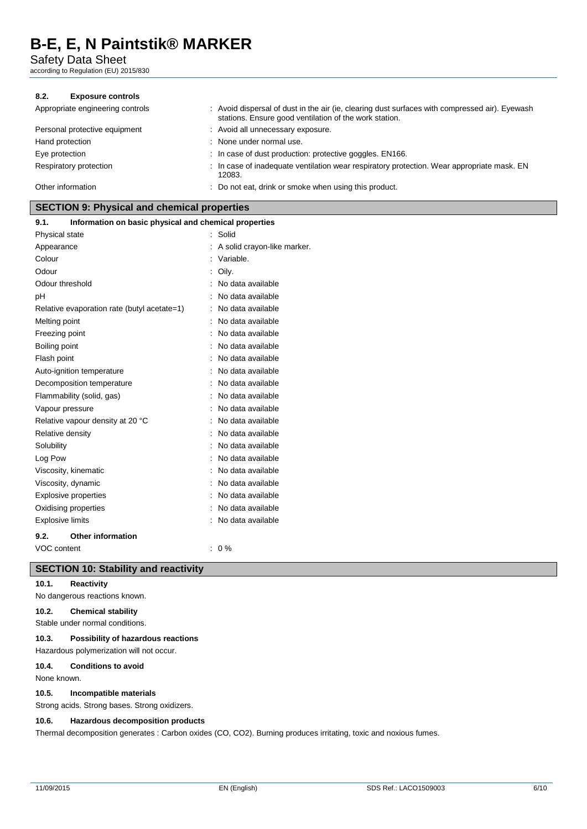Safety Data Sheet

according to Regulation (EU) 2015/830

#### **8.2. Exposure controls**

| Appropriate engineering controls | : Avoid dispersal of dust in the air (ie, clearing dust surfaces with compressed air). Eyewash<br>stations. Ensure good ventilation of the work station. |
|----------------------------------|----------------------------------------------------------------------------------------------------------------------------------------------------------|
| Personal protective equipment    | : Avoid all unnecessary exposure.                                                                                                                        |
| Hand protection                  | : None under normal use.                                                                                                                                 |
| Eye protection                   | : In case of dust production: protective goggles. EN166.                                                                                                 |
| Respiratory protection           | : In case of inadequate ventilation wear respiratory protection. Wear appropriate mask. EN<br>12083.                                                     |
| Other information                | : Do not eat, drink or smoke when using this product.                                                                                                    |

#### **SECTION 9: Physical and chemical properties**

| 9.1.<br>Information on basic physical and chemical properties |                             |
|---------------------------------------------------------------|-----------------------------|
| Physical state                                                | : Solid                     |
| Appearance                                                    | A solid crayon-like marker. |
| Colour                                                        | : Variable.                 |
| Odour                                                         | Oily.                       |
| Odour threshold                                               | No data available           |
| рH                                                            | No data available           |
| Relative evaporation rate (butyl acetate=1)                   | No data available           |
| Melting point                                                 | No data available           |
| Freezing point                                                | No data available           |
| Boiling point                                                 | No data available           |
| Flash point                                                   | No data available           |
| Auto-ignition temperature                                     | No data available           |
| Decomposition temperature                                     | No data available           |
| Flammability (solid, gas)                                     | No data available           |
| Vapour pressure                                               | No data available           |
| Relative vapour density at 20 °C                              | No data available           |
| Relative density                                              | No data available           |
| Solubility                                                    | No data available           |
| Log Pow                                                       | No data available           |
| Viscosity, kinematic                                          | No data available           |
| Viscosity, dynamic                                            | No data available           |
| <b>Explosive properties</b>                                   | No data available           |
| Oxidising properties                                          | No data available           |
| <b>Explosive limits</b>                                       | No data available           |
| 9.2.<br><b>Other information</b>                              |                             |
| VOC content                                                   | $: 0 \%$                    |
|                                                               |                             |

## **SECTION 10: Stability and reactivity**

**10.1. Reactivity**

No dangerous reactions known.

#### **10.2. Chemical stability**

Stable under normal conditions.

#### **10.3. Possibility of hazardous reactions**

Hazardous polymerization will not occur.

#### **10.4. Conditions to avoid**

None known.

#### **10.5. Incompatible materials**

Strong acids. Strong bases. Strong oxidizers.

#### **10.6. Hazardous decomposition products**

Thermal decomposition generates : Carbon oxides (CO, CO2). Burning produces irritating, toxic and noxious fumes.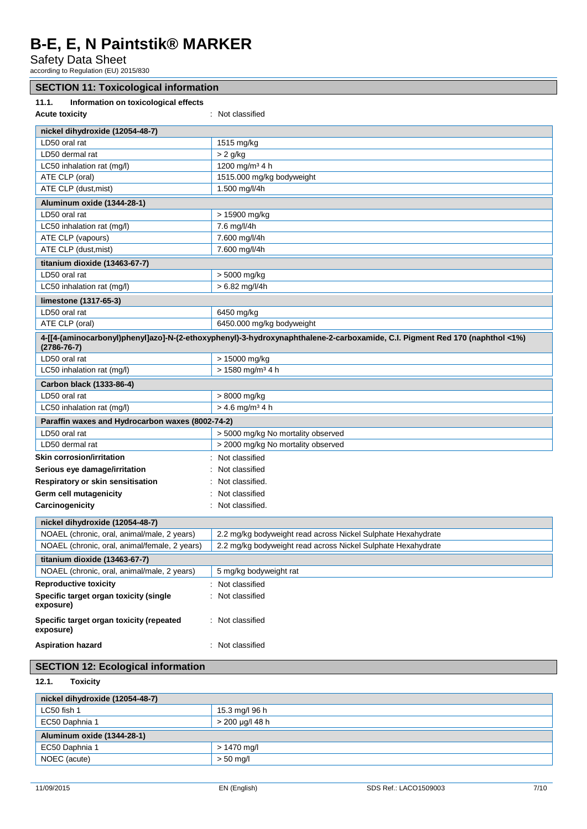Safety Data Sheet

according to Regulation (EU) 2015/830

| according to Regulation (EU) 2015/830                                                                                                            |                                                              |  |  |
|--------------------------------------------------------------------------------------------------------------------------------------------------|--------------------------------------------------------------|--|--|
| <b>SECTION 11: Toxicological information</b>                                                                                                     |                                                              |  |  |
| 11.1.<br>Information on toxicological effects                                                                                                    |                                                              |  |  |
| <b>Acute toxicity</b><br>: Not classified                                                                                                        |                                                              |  |  |
| nickel dihydroxide (12054-48-7)                                                                                                                  |                                                              |  |  |
| LD50 oral rat                                                                                                                                    | 1515 mg/kg                                                   |  |  |
| LD50 dermal rat                                                                                                                                  | $> 2$ g/kg                                                   |  |  |
| LC50 inhalation rat (mg/l)                                                                                                                       | 1200 mg/m <sup>3</sup> 4 h                                   |  |  |
| ATE CLP (oral)                                                                                                                                   | 1515.000 mg/kg bodyweight                                    |  |  |
| ATE CLP (dust, mist)                                                                                                                             | 1.500 mg/l/4h                                                |  |  |
| Aluminum oxide (1344-28-1)                                                                                                                       |                                                              |  |  |
| LD50 oral rat                                                                                                                                    | > 15900 mg/kg                                                |  |  |
| LC50 inhalation rat (mg/l)                                                                                                                       | 7.6 mg/l/4h                                                  |  |  |
| ATE CLP (vapours)                                                                                                                                | 7.600 mg/l/4h                                                |  |  |
| ATE CLP (dust, mist)                                                                                                                             | 7.600 mg/l/4h                                                |  |  |
| titanium dioxide (13463-67-7)                                                                                                                    |                                                              |  |  |
| LD50 oral rat                                                                                                                                    | > 5000 mg/kg                                                 |  |  |
| LC50 inhalation rat (mg/l)                                                                                                                       | $> 6.82$ mg/l/4h                                             |  |  |
| limestone (1317-65-3)                                                                                                                            |                                                              |  |  |
| LD50 oral rat                                                                                                                                    | 6450 mg/kg                                                   |  |  |
| ATE CLP (oral)                                                                                                                                   | 6450.000 mg/kg bodyweight                                    |  |  |
|                                                                                                                                                  |                                                              |  |  |
| 4-[[4-(aminocarbonyl)phenyl]azo]-N-(2-ethoxyphenyl)-3-hydroxynaphthalene-2-carboxamide, C.I. Pigment Red 170 (naphthol <1%)<br>$(2786 - 76 - 7)$ |                                                              |  |  |
| LD50 oral rat                                                                                                                                    | > 15000 mg/kg                                                |  |  |
| LC50 inhalation rat (mg/l)                                                                                                                       | > 1580 mg/m <sup>3</sup> 4 h                                 |  |  |
| Carbon black (1333-86-4)                                                                                                                         |                                                              |  |  |
| LD50 oral rat                                                                                                                                    | > 8000 mg/kg                                                 |  |  |
| LC50 inhalation rat (mg/l)                                                                                                                       | $> 4.6$ mg/m <sup>3</sup> 4 h                                |  |  |
| Paraffin waxes and Hydrocarbon waxes (8002-74-2)                                                                                                 |                                                              |  |  |
| LD50 oral rat                                                                                                                                    | > 5000 mg/kg No mortality observed                           |  |  |
| LD50 dermal rat                                                                                                                                  | > 2000 mg/kg No mortality observed                           |  |  |
| <b>Skin corrosion/irritation</b>                                                                                                                 | : Not classified                                             |  |  |
| Serious eye damage/irritation                                                                                                                    | : Not classified                                             |  |  |
| Respiratory or skin sensitisation                                                                                                                | : Not classified.                                            |  |  |
| Germ cell mutagenicity                                                                                                                           | : Not classified                                             |  |  |
| Carcinogenicity                                                                                                                                  | : Not classified.                                            |  |  |
| nickel dihydroxide (12054-48-7)                                                                                                                  |                                                              |  |  |
| NOAEL (chronic, oral, animal/male, 2 years)                                                                                                      | 2.2 mg/kg bodyweight read across Nickel Sulphate Hexahydrate |  |  |
| NOAEL (chronic, oral, animal/female, 2 years)                                                                                                    | 2.2 mg/kg bodyweight read across Nickel Sulphate Hexahydrate |  |  |
| titanium dioxide (13463-67-7)                                                                                                                    |                                                              |  |  |
| NOAEL (chronic, oral, animal/male, 2 years)                                                                                                      | 5 mg/kg bodyweight rat                                       |  |  |
| <b>Reproductive toxicity</b>                                                                                                                     | : Not classified                                             |  |  |
| Specific target organ toxicity (single<br>exposure)                                                                                              | : Not classified                                             |  |  |
| Specific target organ toxicity (repeated<br>exposure)                                                                                            | : Not classified                                             |  |  |
| <b>Aspiration hazard</b>                                                                                                                         | : Not classified                                             |  |  |
| <b>SECTION 12: Ecological information</b>                                                                                                        |                                                              |  |  |

**12.1. Toxicity**

| nickel dihydroxide (12054-48-7) |                 |  |  |  |
|---------------------------------|-----------------|--|--|--|
| LC50 fish 1                     | 15.3 mg/l 96 h  |  |  |  |
| EC50 Daphnia 1                  | > 200 µg/l 48 h |  |  |  |
| Aluminum oxide (1344-28-1)      |                 |  |  |  |
| EC50 Daphnia 1                  | $> 1470$ mg/l   |  |  |  |
| NOEC (acute)                    | $> 50$ mg/l     |  |  |  |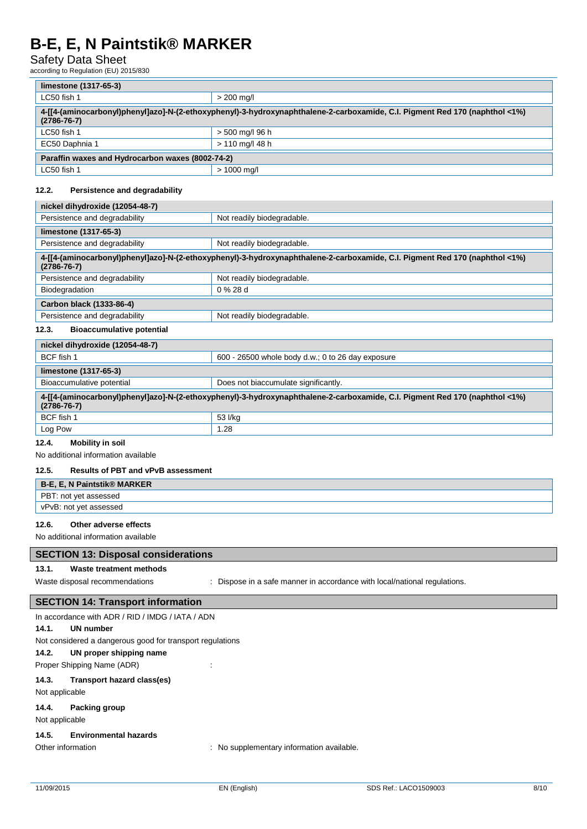# Safety Data Sheet

according to Regulation (EU) 2015/830

| limestone (1317-65-3)                                                                                                                                           |                 |  |  |  |
|-----------------------------------------------------------------------------------------------------------------------------------------------------------------|-----------------|--|--|--|
| LC50 fish 1                                                                                                                                                     | $> 200$ mg/l    |  |  |  |
| 4% 4-170 4-170 (naphthol <1%) 4-174 (aminocarbonyl)phenyl]azo]-N-(2-ethoxyphenyl)-3-hydroxynaphthalene-2-carboxamide, C.I. Pigment Red 170<br>$(2786 - 76 - 7)$ |                 |  |  |  |
| LC50 fish 1                                                                                                                                                     | > 500 mg/l 96 h |  |  |  |
| EC50 Daphnia 1                                                                                                                                                  | > 110 ma/l 48 h |  |  |  |
| Paraffin waxes and Hydrocarbon waxes (8002-74-2)                                                                                                                |                 |  |  |  |
| LC50 fish 1                                                                                                                                                     | $> 1000$ ma/l   |  |  |  |

#### **12.2. Persistence and degradability**

| nickel dihydroxide (12054-48-7)                                                                                                                  |                            |  |  |  |
|--------------------------------------------------------------------------------------------------------------------------------------------------|----------------------------|--|--|--|
| Persistence and degradability<br>Not readily biodegradable.                                                                                      |                            |  |  |  |
| limestone (1317-65-3)                                                                                                                            |                            |  |  |  |
| Persistence and degradability<br>Not readily biodegradable.                                                                                      |                            |  |  |  |
| 4-[[4-(aminocarbonyl)phenyl]azo]-N-(2-ethoxyphenyl)-3-hydroxynaphthalene-2-carboxamide, C.I. Pigment Red 170 (naphthol <1%)<br>$(2786 - 76 - 7)$ |                            |  |  |  |
| Persistence and degradability                                                                                                                    | Not readily biodegradable. |  |  |  |
| Biodegradation                                                                                                                                   | $0\%28d$                   |  |  |  |
| Carbon black (1333-86-4)                                                                                                                         |                            |  |  |  |
| Persistence and degradability                                                                                                                    | Not readily biodegradable. |  |  |  |
| <b>Bioaccumulative potential</b><br>12.3.                                                                                                        |                            |  |  |  |

| nickel dihydroxide (12054-48-7)                                                                                                                                 |         |  |  |
|-----------------------------------------------------------------------------------------------------------------------------------------------------------------|---------|--|--|
| BCF fish 1<br>600 - 26500 whole body d.w.; 0 to 26 day exposure                                                                                                 |         |  |  |
| limestone (1317-65-3)                                                                                                                                           |         |  |  |
| Bioaccumulative potential<br>Does not biaccumulate significantly.                                                                                               |         |  |  |
| 4% 4-170 4-170 (naphthol <1%) 4-1[4-(aminocarbonyl)phenyl]azo]-N-(2-ethoxyphenyl)-3-hydroxynaphthalene-2-carboxamide, C.I. Pigment Red 170<br>$(2786 - 76 - 7)$ |         |  |  |
| BCF fish 1                                                                                                                                                      | 53 I/kg |  |  |
| Log Pow                                                                                                                                                         | 1.28    |  |  |

#### **12.4. Mobility in soil**

No additional information available

#### **12.5. Results of PBT and vPvB assessment**

| B-E, E, N Paintstik® MARKER |  |
|-----------------------------|--|
| PBT: not yet assessed       |  |
| vPvB: not yet assessed      |  |

### **12.6. Other adverse effects**

No additional information available

### **SECTION 13: Disposal considerations**

#### **13.1. Waste treatment methods**

Waste disposal recommendations : Dispose in a safe manner in accordance with local/national regulations.

### **SECTION 14: Transport information**

|                   | In accordance with ADR / RID / IMDG / IATA / ADN          |
|-------------------|-----------------------------------------------------------|
| 14.1.             | UN number                                                 |
|                   | Not considered a dangerous good for transport regulations |
| 14.2.             | UN proper shipping name                                   |
|                   | Proper Shipping Name (ADR)                                |
| 14.3.             | Transport hazard class(es)                                |
| Not applicable    |                                                           |
|                   | 14.4. Packing group                                       |
| Not applicable    |                                                           |
| 14.5.             | <b>Environmental hazards</b>                              |
| Other information | : No supplementary information available.                 |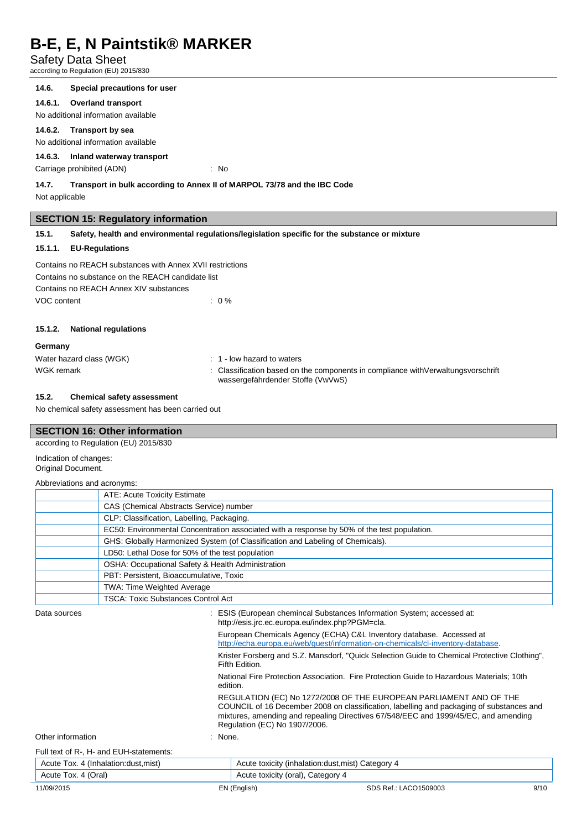### Safety Data Sheet

according to Regulation (EU) 2015/830

#### **14.6. Special precautions for user**

**14.6.1. Overland transport**

No additional information available

#### **14.6.2. Transport by sea**

No additional information available

### **14.6.3. Inland waterway transport**

Carriage prohibited (ADN) : No

#### **14.7. Transport in bulk according to Annex II of MARPOL 73/78 and the IBC Code**

Not applicable

#### **SECTION 15: Regulatory information**

**15.1. Safety, health and environmental regulations/legislation specific for the substance or mixture**

#### **15.1.1. EU-Regulations**

| Contains no REACH substances with Annex XVII restrictions |                  |
|-----------------------------------------------------------|------------------|
| Contains no substance on the REACH candidate list         |                  |
| Contains no REACH Annex XIV substances                    |                  |
| VOC content                                               | $\therefore$ 0 % |

#### **15.1.2. National regulations**

#### **Germany**

| Water hazard class (WGK) | $\therefore$ 1 - low hazard to waters                                                                                   |
|--------------------------|-------------------------------------------------------------------------------------------------------------------------|
| WGK remark               | : Classification based on the components in compliance with Verwaltungs vorschrift<br>wassergefährdender Stoffe (VwVwS) |

#### **15.2. Chemical safety assessment**

No chemical safety assessment has been carried out

### **SECTION 16: Other information**

according to Regulation (EU) 2015/830 Indication of changes: Original Document.

#### Abbreviations and acronyms:

|  | ATE: Acute Toxicity Estimate                                                                |  |  |  |
|--|---------------------------------------------------------------------------------------------|--|--|--|
|  | CAS (Chemical Abstracts Service) number                                                     |  |  |  |
|  | CLP: Classification, Labelling, Packaging.                                                  |  |  |  |
|  | EC50: Environmental Concentration associated with a response by 50% of the test population. |  |  |  |
|  | GHS: Globally Harmonized System (of Classification and Labeling of Chemicals).              |  |  |  |
|  | LD50: Lethal Dose for 50% of the test population                                            |  |  |  |
|  | OSHA: Occupational Safety & Health Administration                                           |  |  |  |
|  | PBT: Persistent, Bioaccumulative, Toxic                                                     |  |  |  |
|  | <b>TWA: Time Weighted Average</b>                                                           |  |  |  |
|  | <b>TSCA: Toxic Substances Control Act</b>                                                   |  |  |  |

| Data sources                            |          | ESIS (European chemincal Substances Information System; accessed at:<br>http://esis.jrc.ec.europa.eu/index.php?PGM=cla.                                                                                                                                                                |  |  |
|-----------------------------------------|----------|----------------------------------------------------------------------------------------------------------------------------------------------------------------------------------------------------------------------------------------------------------------------------------------|--|--|
|                                         |          | European Chemicals Agency (ECHA) C&L Inventory database. Accessed at<br>http://echa.europa.eu/web/quest/information-on-chemicals/cl-inventory-database.                                                                                                                                |  |  |
|                                         |          | Krister Forsberg and S.Z. Mansdorf, "Quick Selection Guide to Chemical Protective Clothing",<br>Fifth Edition.                                                                                                                                                                         |  |  |
|                                         | edition. | National Fire Protection Association. Fire Protection Guide to Hazardous Materials; 10th                                                                                                                                                                                               |  |  |
|                                         |          | REGULATION (EC) No 1272/2008 OF THE EUROPEAN PARLIAMENT AND OF THE<br>COUNCIL of 16 December 2008 on classification, labelling and packaging of substances and<br>mixtures, amending and repealing Directives 67/548/EEC and 1999/45/EC, and amending<br>Regulation (EC) No 1907/2006. |  |  |
| Other information                       | None.    |                                                                                                                                                                                                                                                                                        |  |  |
| Full text of R-, H- and EUH-statements: |          |                                                                                                                                                                                                                                                                                        |  |  |
| Acute Tox. 4 (Inhalation: dust, mist)   |          | Acute toxicity (inhalation: dust, mist) Category 4                                                                                                                                                                                                                                     |  |  |
| Acute Tox. 4 (Oral)                     |          | Acute toxicity (oral), Category 4                                                                                                                                                                                                                                                      |  |  |
| 11/09/2015                              |          | 9/10<br>EN (English)<br>SDS Ref.: LACO1509003                                                                                                                                                                                                                                          |  |  |